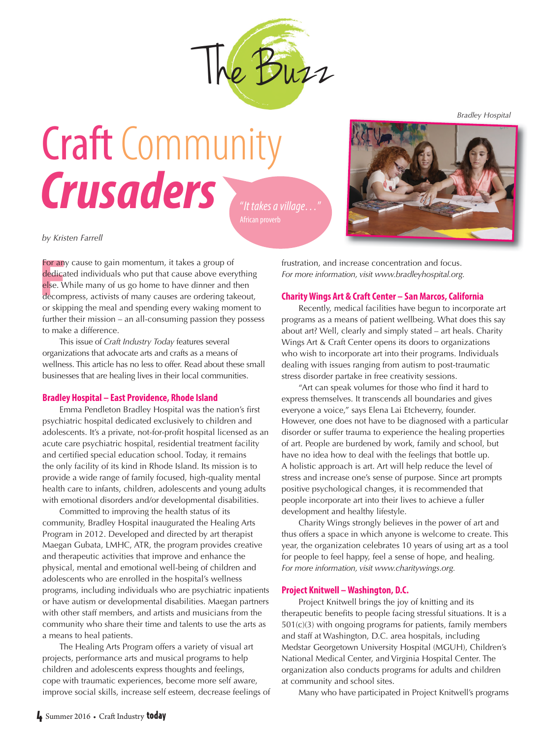

# **Craft** Community  $Crusaders$



*by Kristen Farrell*

**For any**<br>**dedica**<br>**else. W**<br>decom For any cause to gain momentum, it takes a group of dedicated individuals who put that cause above everything else. While many of us go home to have dinner and then decompress, activists of many causes are ordering takeout, or skipping the meal and spending every waking moment to further their mission – an all-consuming passion they possess to make a difference.

This issue of *Craft Industry Today* features several organizations that advocate arts and crafts as a means of wellness. This article has no less to offer. Read about these small businesses that are healing lives in their local communities.

### **Bradley Hospital – East Providence, Rhode Island**

Emma Pendleton Bradley Hospital was the nation's first psychiatric hospital dedicated exclusively to children and adolescents. It's a private, not-for-profit hospital licensed as an acute care psychiatric hospital, residential treatment facility and certified special education school. Today, it remains the only facility of its kind in Rhode Island. Its mission is to provide a wide range of family focused, high-quality mental health care to infants, children, adolescents and young adults with emotional disorders and/or developmental disabilities.

Committed to improving the health status of its community, Bradley Hospital inaugurated the Healing Arts Program in 2012. Developed and directed by art therapist Maegan Gubata, LMHC, ATR, the program provides creative and therapeutic activities that improve and enhance the physical, mental and emotional well-being of children and adolescents who are enrolled in the hospital's wellness programs, including individuals who are psychiatric inpatients or have autism or developmental disabilities. Maegan partners with other staff members, and artists and musicians from the community who share their time and talents to use the arts as a means to heal patients.

The Healing Arts Program offers a variety of visual art projects, performance arts and musical programs to help children and adolescents express thoughts and feelings, cope with traumatic experiences, become more self aware, improve social skills, increase self esteem, decrease feelings of frustration, and increase concentration and focus. *For more information, visit [www.bradleyhospital.org.](http://www.bradleyhospital.org)* 

### **Charity Wings Art & Craft Center – San Marcos, California**

 Recently, medical facilities have begun to incorporate art programs as a means of patient wellbeing. What does this say about art? Well, clearly and simply stated – art heals. Charity Wings Art & Craft Center opens its doors to organizations who wish to incorporate art into their programs. Individuals dealing with issues ranging from autism to post-traumatic stress disorder partake in free creativity sessions.

 "Art can speak volumes for those who find it hard to express themselves. It transcends all boundaries and gives everyone a voice," says Elena Lai Etcheverry, founder. However, one does not have to be diagnosed with a particular disorder or suffer trauma to experience the healing properties of art. People are burdened by work, family and school, but have no idea how to deal with the feelings that bottle up. A holistic approach is art. Art will help reduce the level of stress and increase one's sense of purpose. Since art prompts positive psychological changes, it is recommended that people incorporate art into their lives to achieve a fuller development and healthy lifestyle.

 Charity Wings strongly believes in the power of art and thus offers a space in which anyone is welcome to create. This year, the organization celebrates 10 years of using art as a tool for people to feel happy, feel a sense of hope, and healing. *For more information, visit [www.charitywings.org.](http://www.charitywings.org)*

## **Project Knitwell – Washington, D.C.**

 Project Knitwell brings the joy of knitting and its therapeutic benefits to people facing stressful situations. It is a 501(c)(3) with ongoing programs for patients, family members and staff at Washington, D.C. area hospitals, including Medstar Georgetown University Hospital (MGUH), Children's National Medical Center, and Virginia Hospital Center. The organization also conducts programs for adults and children at community and school sites.

Many who have participated in Project Knitwell's programs